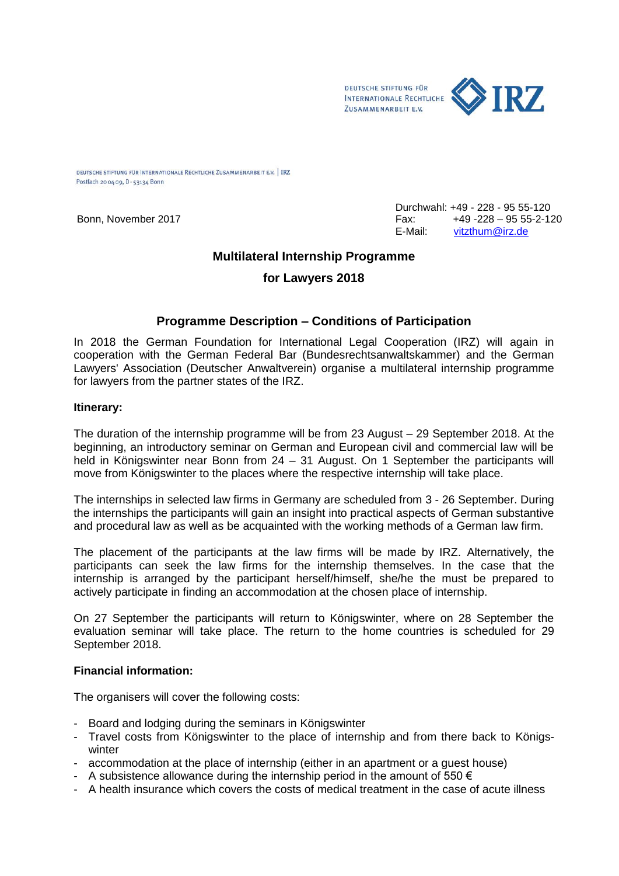

DEUTSCHE STIFTUNG FÜR INTERNATIONALE RECHTLICHE ZUSAMMENARBEIT E.V. | IRZ Postfach 20 04 09, D - 53134 Bonn

Durchwahl: +49 - 228 - 95 55-120 Bonn, November 2017 Fax: +49 -228 – 95 55-2-120 E-Mail: [vitzthum@irz.de](mailto:vitzthum@irz.de)

## **Multilateral Internship Programme**

## **for Lawyers 2018**

## **Programme Description – Conditions of Participation**

In 2018 the German Foundation for International Legal Cooperation (IRZ) will again in cooperation with the German Federal Bar (Bundesrechtsanwaltskammer) and the German Lawyers' Association (Deutscher Anwaltverein) organise a multilateral internship programme for lawyers from the partner states of the IRZ.

#### **Itinerary:**

The duration of the internship programme will be from 23 August – 29 September 2018. At the beginning, an introductory seminar on German and European civil and commercial law will be held in Königswinter near Bonn from 24 – 31 August. On 1 September the participants will move from Königswinter to the places where the respective internship will take place.

The internships in selected law firms in Germany are scheduled from 3 - 26 September. During the internships the participants will gain an insight into practical aspects of German substantive and procedural law as well as be acquainted with the working methods of a German law firm.

The placement of the participants at the law firms will be made by IRZ. Alternatively, the participants can seek the law firms for the internship themselves. In the case that the internship is arranged by the participant herself/himself, she/he the must be prepared to actively participate in finding an accommodation at the chosen place of internship.

On 27 September the participants will return to Königswinter, where on 28 September the evaluation seminar will take place. The return to the home countries is scheduled for 29 September 2018.

### **Financial information:**

The organisers will cover the following costs:

- Board and lodging during the seminars in Königswinter
- Travel costs from Königswinter to the place of internship and from there back to Königswinter
- accommodation at the place of internship (either in an apartment or a guest house)
- A subsistence allowance during the internship period in the amount of 550  $\epsilon$
- A health insurance which covers the costs of medical treatment in the case of acute illness